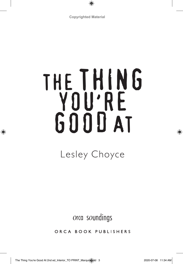# THE THING **LE LITIN<br>LE LITIN<br>LE LITIN** GOOD AT

## Lesley Choyce

*Orca* soundings

ORCA BOOK PUBLISHERS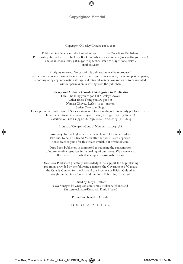#### **Copyrighted Material**

#### Copyright © Lesley Choyce 2018, 2020

Published in Canada and the United States in 2020 by Orca Book Publishers. Previously published in 2018 by Orca Book Publishers as a softcover (ISBN 9781459818040) and as an ebook (ISBN 9781459818057, PDF; ISBN 9781459818064, EPUB). orcabook.com

All rights reserved. No part of this publication may be reproduced or transmitted in any form or by any means, electronic or mechanical, including photocopying, recording or by any information storage and retrieval system now known or to be invented, without permission in writing from the publisher.

**Library and Archives Canada Cataloguing in Publication**

Title: The thing you're good at / Lesley Choyce. Other titles: Thing you are good at Names: Choyce, Lesley, 1951– author. Series: Orca soundings.

Description: Second edition. | Series statement: Orca soundings | Previously published: 2018. Identifiers: Canadiana 20200287591 | isbn 9781459828421 (softcover) Classification: LCC PS8555.H668 T46 2020 | DDC  $i6813/54 - dc23$ 

Library of Congress Control Number: 2020941788

**Summary:** In this high-interest accessible novel for teen readers, Jake tries to help his friend Maria after her parents are deported. A free teacher guide for this title is available at orcabook.com.

Orca Book Publishers is committed to reducing the consumption of nonrenewable resources in the making of our books. We make every effort to use materials that support a sustainable future.

Orca Book Publishers gratefully acknowledges the support for its publishing programs provided by the following agencies: the Government of Canada, the Canada Council for the Arts and the Province of British Columbia through the BC Arts Council and the Book Publishing Tax Credit.

> Edited by Tanya Trafford Cover images by Unsplash.com/Frank Mckenna (front) and Shutterstock.com/Krasovski Dmitri (back)

> > Printed and bound in Canada.

23 22 21 20 • 1 2 3 4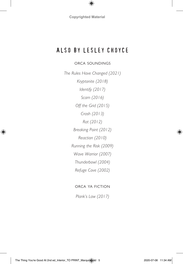### ALSO BY LESLEY CHOYCE

orca soundings

*The Rules Have Changed (2021) Kryptonite (2018) Identify (2017) Scam (2016) Off the Grid (2015) Crash (2013) Rat (2012) Breaking Point (2012) Reaction (2010) Running the Risk (2009) Wave Warrior (2007) Thunderbowl (2004) Refuge Cove (2002)*

orca ya fiction

*Plank's Law (2017)*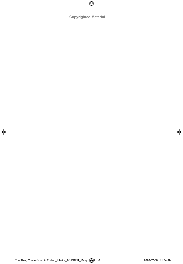**Copyrighted Material**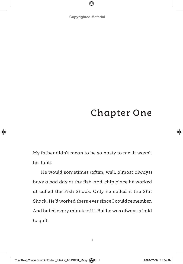**Copyrighted Material**

## **Chapter One**

My father didn't mean to be so nasty to me. It wasn't his fault.

He would sometimes (often, well, almost always) have a bad day at the fish-and-chip place he worked at called the Fish Shack. Only he called it the Shit Shack. He'd worked there ever since I could remember. And hated every minute of it. But he was always afraid to quit.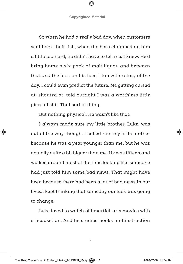So when he had a *really* bad day, when customers sent back their fish, when the boss chomped on him a little too hard, he didn't have to tell me. I knew. He'd bring home a six-pack of malt liquor, and between that and the look on his face, I knew the story of the day. I could even predict the future. Me getting cursed at, shouted at, told outright I was a worthless little piece of shit. That sort of thing.

But nothing physical. He wasn't like that.

I always made sure my little brother, Luke, was out of the way though. I called him my little brother because he was a year younger than me, but he was actually quite a bit bigger than me. He was fifteen and walked around most of the time looking like someone had just told him some bad news. That might have been because there had been a lot of bad news in our lives.I kept thinking that someday our luck was going to change.

Luke loved to watch old martial-arts movies with a headset on. And he studied books and instruction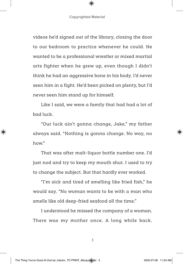videos he'd signed out of the library, closing the door to our bedroom to practice whenever he could. He wanted to be a professional wrestler or mixed martial arts fighter when he grew up, even though I didn't think he had an aggressive bone in his body. I'd never seen him in a fight. He'd been picked on plenty, but I'd never seen him stand up for himself.

Like I said, we were a family that had had a lot of bad luck.

"Our luck ain't gonna change, Jake," my father always said. "Nothing is gonna change. No way, no how."

That was after malt-liquor bottle number one. I'd just nod and try to keep my mouth shut. I used to try to change the subject. But that hardly ever worked.

"I'm sick and tired of smelling like fried fish," he would say. "No woman wants to be with a man who smells like old deep-fried seafood all the time."

I understood he missed the company of a woman. There was my mother once. A long while back.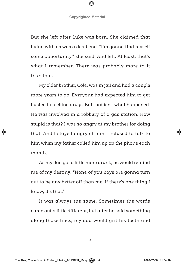But she left after Luke was born. She claimed that living with us was a dead end. "I'm gonna find myself some opportunity," she said. And left. At least, that's what I remember. There was probably more to it than that.

My older brother, Cole, was in jail and had a couple more years to go. Everyone had expected him to get busted for selling drugs. But that isn't what happened. He was involved in a robbery of a gas station. How stupid is that? I was so angry at my brother for doing that. And I stayed angry at him. I refused to talk to him when my father called him up on the phone each month.

As my dad got a little more drunk, he would remind me of my destiny: "None of you boys are gonna turn out to be any better off than me. If there's one thing I know, it's that."

It was always the same. Sometimes the words came out a little different, but after he said something along those lines, my dad would grit his teeth and